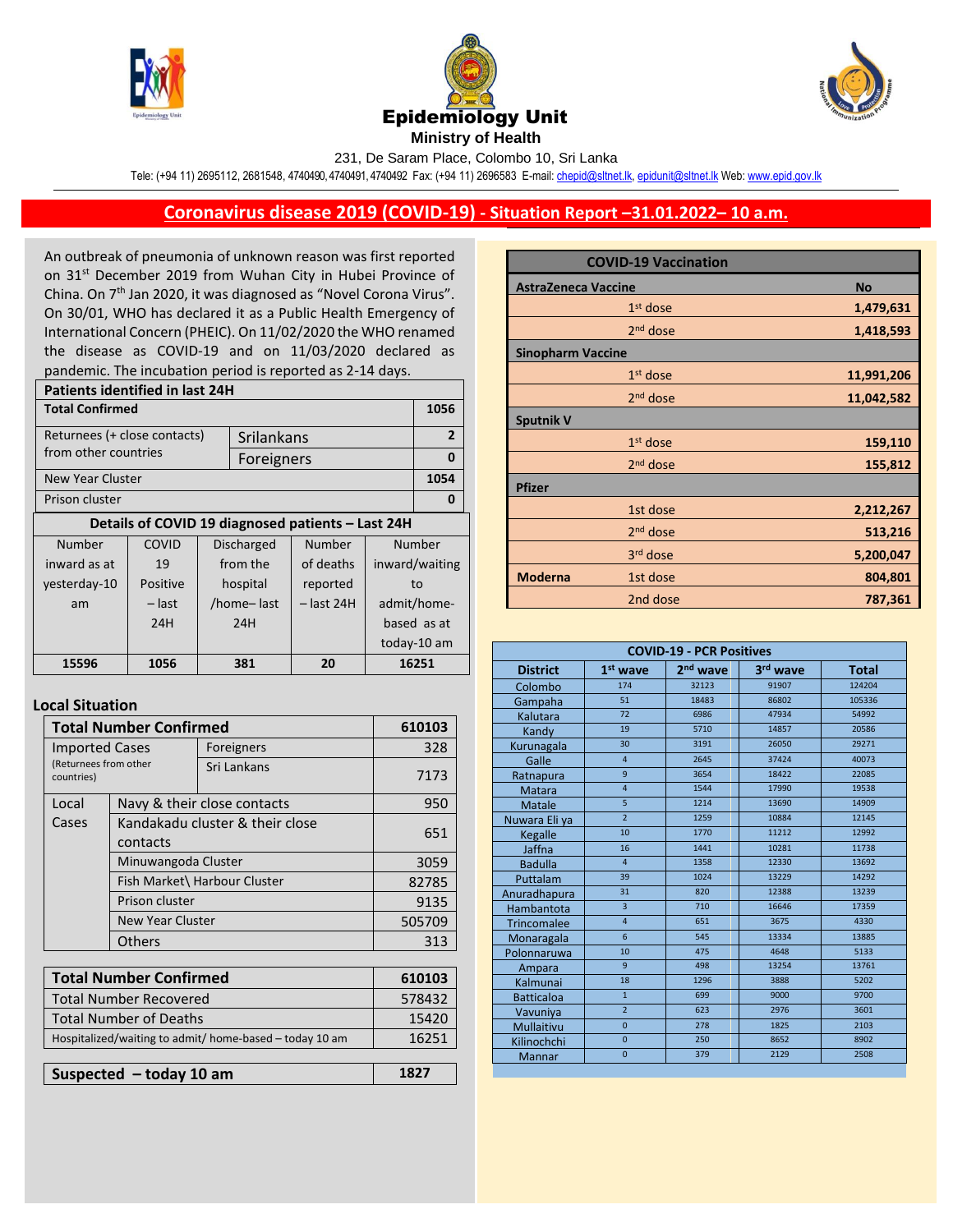





231, De Saram Place, Colombo 10, Sri Lanka

Tele: (+94 11) 2695112, 2681548, 4740490, 4740491, 4740492 Fax: (+94 11) 2696583 E-mail[: chepid@sltnet.lk,](mailto:chepi@sltnet.lk) [epidunit@sltnet.lk](mailto:epidunit@sltnet.lk) Web[: www.epid.gov.lk](http://www.epid.gov.lk/)

## **Coronavirus disease 2019 (COVID-19) - Situation Report –31.01.2022– 10 a.m.**

An outbreak of pneumonia of unknown reason was first reported on 31<sup>st</sup> December 2019 from Wuhan City in Hubei Province of China. On 7<sup>th</sup> Jan 2020, it was diagnosed as "Novel Corona Virus". On 30/01, WHO has declared it as a Public Health Emergency of International Concern (PHEIC). On 11/02/2020 the WHO renamed the disease as COVID-19 and on 11/03/2020 declared as pandemic. The incubation period is reported as 2-14 days.

| <b>Patients identified in last 24H</b>            |          |  |                   |                |                |             |
|---------------------------------------------------|----------|--|-------------------|----------------|----------------|-------------|
| <b>Total Confirmed</b>                            |          |  |                   | 1056           |                |             |
| Returnees (+ close contacts)<br>Srilankans        |          |  |                   | $\overline{2}$ |                |             |
| from other countries                              |          |  | Foreigners        |                |                | 0           |
| New Year Cluster                                  |          |  |                   |                | 1054           |             |
| Prison cluster                                    |          |  |                   | 0              |                |             |
| Details of COVID 19 diagnosed patients - Last 24H |          |  |                   |                |                |             |
| Number                                            | COVID    |  | <b>Discharged</b> | Number         | Number         |             |
| inward as at                                      | 19       |  | from the          | of deaths      | inward/waiting |             |
| yesterday-10                                      | Positive |  | hospital          | reported       | to             |             |
| am                                                | – last   |  | /home-last        | $-$ last 24H   | admit/home-    |             |
|                                                   | 24H      |  | 24H               |                |                | based as at |
|                                                   |          |  |                   |                |                | today-10 am |
| 15596                                             | 1056     |  | 381               | 20             | 16251          |             |
|                                                   |          |  |                   |                |                |             |

## **Local Situation**

| <b>Total Number Confirmed</b>                           |                                             |                              | 610103 |
|---------------------------------------------------------|---------------------------------------------|------------------------------|--------|
| <b>Imported Cases</b>                                   |                                             | Foreigners                   | 328    |
| (Returnees from other<br>countries)                     |                                             | Sri Lankans                  | 7173   |
| Local                                                   |                                             | Navy & their close contacts  | 950    |
| Cases                                                   | Kandakadu cluster & their close<br>contacts |                              | 651    |
|                                                         | Minuwangoda Cluster                         |                              | 3059   |
|                                                         |                                             | Fish Market\ Harbour Cluster | 82785  |
| Prison cluster                                          |                                             |                              | 9135   |
| New Year Cluster                                        |                                             |                              | 505709 |
|                                                         | Others                                      |                              | 313    |
|                                                         |                                             |                              |        |
|                                                         | <b>Total Number Confirmed</b>               |                              | 610103 |
| <b>Total Number Recovered</b>                           |                                             |                              | 578432 |
| <b>Total Number of Deaths</b>                           |                                             |                              | 15420  |
| Hospitalized/waiting to admit/ home-based - today 10 am |                                             |                              | 16251  |
|                                                         |                                             |                              |        |
| Suspected $-$ today 10 am                               |                                             |                              | 1827   |

|                            | <b>COVID-19 Vaccination</b> |            |
|----------------------------|-----------------------------|------------|
| <b>AstraZeneca Vaccine</b> | <b>No</b>                   |            |
|                            | $1st$ dose                  | 1,479,631  |
|                            | 2 <sup>nd</sup> dose        | 1,418,593  |
| <b>Sinopharm Vaccine</b>   |                             |            |
|                            | $1st$ dose                  | 11,991,206 |
|                            | $2nd$ dose                  | 11,042,582 |
| <b>Sputnik V</b>           |                             |            |
|                            | $1st$ dose                  | 159,110    |
|                            | 2 <sup>nd</sup> dose        | 155,812    |
| <b>Pfizer</b>              |                             |            |
|                            | 1st dose                    | 2,212,267  |
|                            | 2 <sup>nd</sup> dose        | 513,216    |
|                            | 3rd dose                    | 5,200,047  |
| <b>Moderna</b>             | 1st dose                    | 804,801    |
|                            | 2nd dose                    | 787,361    |

| <b>COVID-19 - PCR Positives</b> |                |                      |          |              |
|---------------------------------|----------------|----------------------|----------|--------------|
| <b>District</b>                 | $1st$ wave     | 2 <sup>nd</sup> wave | 3rd wave | <b>Total</b> |
| Colombo                         | 174            | 32123                | 91907    | 124204       |
| Gampaha                         | 51             | 18483                | 86802    | 105336       |
| Kalutara                        | 72             | 6986                 | 47934    | 54992        |
| Kandy                           | 19             | 5710                 | 14857    | 20586        |
| Kurunagala                      | 30             | 3191                 | 26050    | 29271        |
| Galle                           | $\overline{4}$ | 2645                 | 37424    | 40073        |
| Ratnapura                       | 9              | 3654                 | 18422    | 22085        |
| <b>Matara</b>                   | $\overline{4}$ | 1544                 | 17990    | 19538        |
| Matale                          | 5              | 1214                 | 13690    | 14909        |
| Nuwara Eli ya                   | $\overline{2}$ | 1259                 | 10884    | 12145        |
| Kegalle                         | 10             | 1770                 | 11212    | 12992        |
| Jaffna                          | 16             | 1441                 | 10281    | 11738        |
| <b>Badulla</b>                  | $\overline{4}$ | 1358                 | 12330    | 13692        |
| Puttalam                        | 39             | 1024                 | 13229    | 14292        |
| Anuradhapura                    | 31             | 820                  | 12388    | 13239        |
| Hambantota                      | $\overline{3}$ | 710                  | 16646    | 17359        |
| <b>Trincomalee</b>              | $\overline{4}$ | 651                  | 3675     | 4330         |
| Monaragala                      | 6              | 545                  | 13334    | 13885        |
| Polonnaruwa                     | 10             | 475                  | 4648     | 5133         |
| Ampara                          | $\overline{9}$ | 498                  | 13254    | 13761        |
| Kalmunai                        | 18             | 1296                 | 3888     | 5202         |
| <b>Batticaloa</b>               | $\overline{1}$ | 699                  | 9000     | 9700         |
| Vavuniya                        | $\overline{2}$ | 623                  | 2976     | 3601         |
| Mullaitivu                      | $\overline{0}$ | 278                  | 1825     | 2103         |
| Kilinochchi                     | $\mathbf{0}$   | 250                  | 8652     | 8902         |
| Mannar                          | $\overline{0}$ | 379                  | 2129     | 2508         |